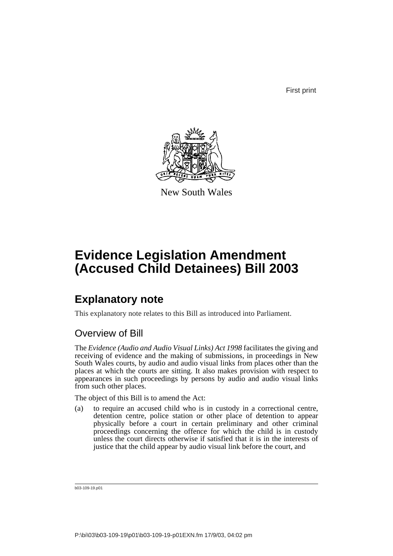First print



New South Wales

# **Evidence Legislation Amendment (Accused Child Detainees) Bill 2003**

## **Explanatory note**

This explanatory note relates to this Bill as introduced into Parliament.

## Overview of Bill

The *Evidence (Audio and Audio Visual Links) Act 1998* facilitates the giving and receiving of evidence and the making of submissions, in proceedings in New South Wales courts, by audio and audio visual links from places other than the places at which the courts are sitting. It also makes provision with respect to appearances in such proceedings by persons by audio and audio visual links from such other places.

The object of this Bill is to amend the Act:

(a) to require an accused child who is in custody in a correctional centre, detention centre, police station or other place of detention to appear physically before a court in certain preliminary and other criminal proceedings concerning the offence for which the child is in custody unless the court directs otherwise if satisfied that it is in the interests of justice that the child appear by audio visual link before the court, and

b03-109-19.p01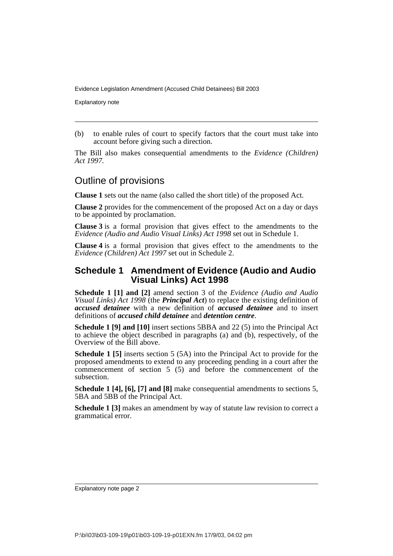Explanatory note

(b) to enable rules of court to specify factors that the court must take into account before giving such a direction.

The Bill also makes consequential amendments to the *Evidence (Children) Act 1997.*

### Outline of provisions

**Clause 1** sets out the name (also called the short title) of the proposed Act.

**Clause 2** provides for the commencement of the proposed Act on a day or days to be appointed by proclamation.

**Clause 3** is a formal provision that gives effect to the amendments to the *Evidence (Audio and Audio Visual Links) Act 1998* set out in Schedule 1.

**Clause 4** is a formal provision that gives effect to the amendments to the *Evidence (Children) Act 1997* set out in Schedule 2.

### **Schedule 1 Amendment of Evidence (Audio and Audio Visual Links) Act 1998**

**Schedule 1 [1] and [2]** amend section 3 of the *Evidence (Audio and Audio Visual Links) Act 1998* (the *Principal Act*) to replace the existing definition of *accused detainee* with a new definition of *accused detainee* and to insert definitions of *accused child detainee* and *detention centre*.

**Schedule 1 [9] and [10]** insert sections 5BBA and 22 (5) into the Principal Act to achieve the object described in paragraphs (a) and (b), respectively, of the Overview of the Bill above.

**Schedule 1 [5]** inserts section 5 (5A) into the Principal Act to provide for the proposed amendments to extend to any proceeding pending in a court after the commencement of section 5 (5) and before the commencement of the subsection.

**Schedule 1 [4], [6], [7] and [8]** make consequential amendments to sections 5, 5BA and 5BB of the Principal Act.

**Schedule 1 [3]** makes an amendment by way of statute law revision to correct a grammatical error.

Explanatory note page 2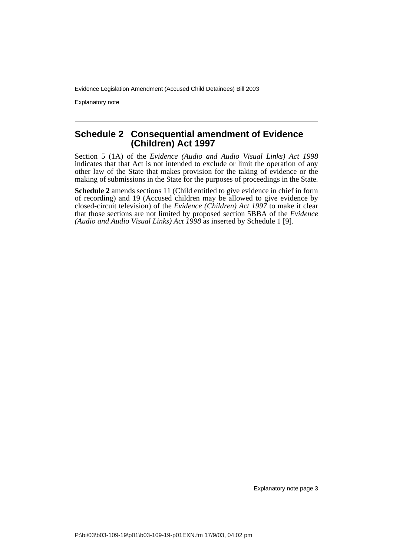Explanatory note

### **Schedule 2 Consequential amendment of Evidence (Children) Act 1997**

Section 5 (1A) of the *Evidence (Audio and Audio Visual Links) Act 1998* indicates that that Act is not intended to exclude or limit the operation of any other law of the State that makes provision for the taking of evidence or the making of submissions in the State for the purposes of proceedings in the State.

**Schedule 2** amends sections 11 (Child entitled to give evidence in chief in form of recording) and 19 (Accused children may be allowed to give evidence by closed-circuit television) of the *Evidence (Children) Act 1997* to make it clear that those sections are not limited by proposed section 5BBA of the *Evidence (Audio and Audio Visual Links) Act 1998* as inserted by Schedule 1 [9].

Explanatory note page 3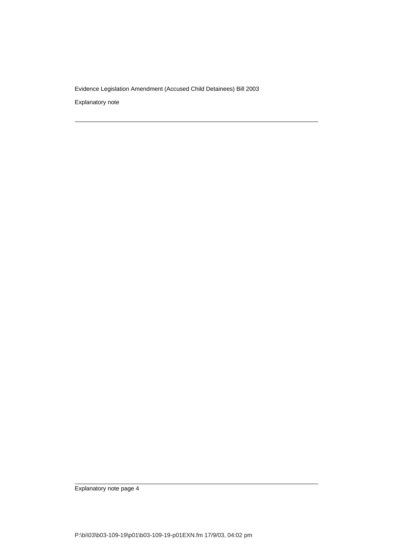Explanatory note

Explanatory note page 4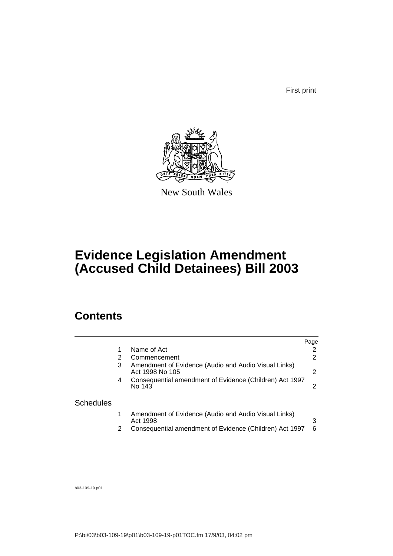First print



New South Wales

# **Evidence Legislation Amendment (Accused Child Detainees) Bill 2003**

## **Contents**

|                  |                                                              |                                                                         | Page           |
|------------------|--------------------------------------------------------------|-------------------------------------------------------------------------|----------------|
|                  |                                                              | Name of Act                                                             | 2              |
|                  | 2                                                            | Commencement                                                            | $\overline{2}$ |
|                  | 3                                                            | Amendment of Evidence (Audio and Audio Visual Links)<br>Act 1998 No 105 | $\overline{2}$ |
|                  | 4                                                            | Consequential amendment of Evidence (Children) Act 1997<br>No 143       | 2              |
| <b>Schedules</b> |                                                              |                                                                         |                |
|                  |                                                              | Amendment of Evidence (Audio and Audio Visual Links)<br>Act 1998        | 3              |
|                  | Consequential amendment of Evidence (Children) Act 1997<br>2 |                                                                         | 6              |
|                  |                                                              |                                                                         |                |

b03-109-19.p01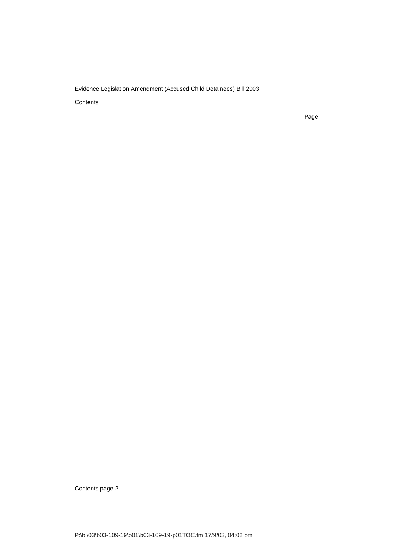**Contents** 

Page

Contents page 2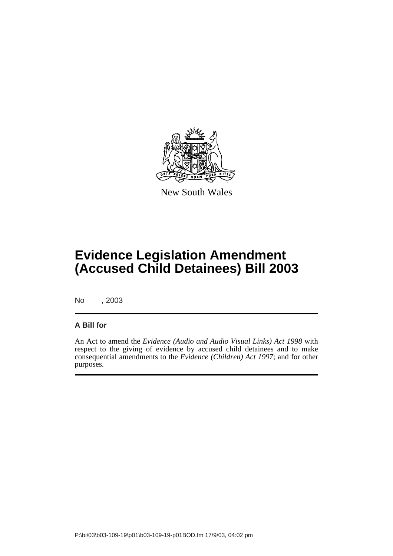

New South Wales

# **Evidence Legislation Amendment (Accused Child Detainees) Bill 2003**

No , 2003

#### **A Bill for**

An Act to amend the *Evidence (Audio and Audio Visual Links) Act 1998* with respect to the giving of evidence by accused child detainees and to make consequential amendments to the *Evidence (Children) Act 1997*; and for other purposes.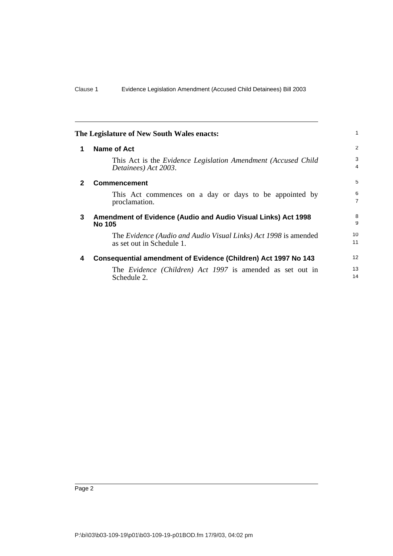<span id="page-7-3"></span><span id="page-7-2"></span><span id="page-7-1"></span><span id="page-7-0"></span>

| $\mathbf 1$<br>The Legislature of New South Wales enacts: |                                                                                                      |                     |  |  |  |
|-----------------------------------------------------------|------------------------------------------------------------------------------------------------------|---------------------|--|--|--|
| 1                                                         | Name of Act                                                                                          |                     |  |  |  |
|                                                           | This Act is the <i>Evidence Legislation Amendment</i> ( <i>Accused Child</i><br>Detainees) Act 2003. | 3<br>$\overline{4}$ |  |  |  |
| $\mathbf{2}$                                              | <b>Commencement</b>                                                                                  | 5                   |  |  |  |
|                                                           | This Act commences on a day or days to be appointed by<br>proclamation.                              | 6<br>$\overline{7}$ |  |  |  |
| 3                                                         | Amendment of Evidence (Audio and Audio Visual Links) Act 1998<br><b>No 105</b>                       | 8<br>9              |  |  |  |
|                                                           | The Evidence (Audio and Audio Visual Links) Act 1998 is amended<br>as set out in Schedule 1.         | 10<br>11            |  |  |  |
| 4                                                         | <b>Consequential amendment of Evidence (Children) Act 1997 No 143</b>                                | 12                  |  |  |  |
|                                                           | The Evidence (Children) Act 1997 is amended as set out in<br>Schedule 2.                             | 13<br>14            |  |  |  |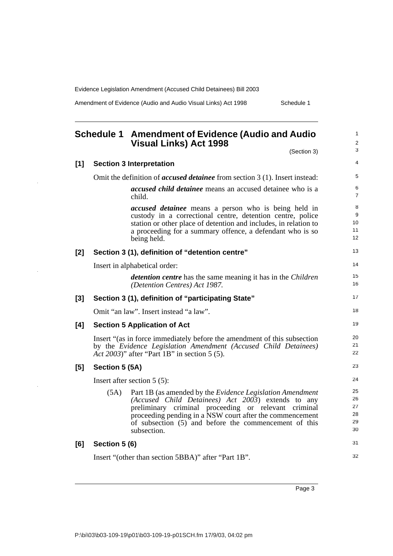Amendment of Evidence (Audio and Audio Visual Links) Act 1998 Schedule 1

<span id="page-8-0"></span>

|                                                                                                                                                                                                | <b>Visual Links) Act 1998</b>                                                                                                                                                                                                                                                                                      |                                                                                                                                                                                                     |  |
|------------------------------------------------------------------------------------------------------------------------------------------------------------------------------------------------|--------------------------------------------------------------------------------------------------------------------------------------------------------------------------------------------------------------------------------------------------------------------------------------------------------------------|-----------------------------------------------------------------------------------------------------------------------------------------------------------------------------------------------------|--|
| <b>Section 3 Interpretation</b>                                                                                                                                                                |                                                                                                                                                                                                                                                                                                                    |                                                                                                                                                                                                     |  |
| Omit the definition of <i>accused detainee</i> from section 3 (1). Insert instead:                                                                                                             |                                                                                                                                                                                                                                                                                                                    |                                                                                                                                                                                                     |  |
|                                                                                                                                                                                                | accused child detainee means an accused detainee who is a<br>child.                                                                                                                                                                                                                                                | 6<br>7                                                                                                                                                                                              |  |
|                                                                                                                                                                                                | <i>accused detainee</i> means a person who is being held in<br>custody in a correctional centre, detention centre, police<br>station or other place of detention and includes, in relation to<br>a proceeding for a summary offence, a defendant who is so<br>being held.                                          | 8<br>9<br>10<br>11<br>12                                                                                                                                                                            |  |
| Section 3 (1), definition of "detention centre"                                                                                                                                                |                                                                                                                                                                                                                                                                                                                    |                                                                                                                                                                                                     |  |
| Insert in alphabetical order:                                                                                                                                                                  |                                                                                                                                                                                                                                                                                                                    |                                                                                                                                                                                                     |  |
|                                                                                                                                                                                                | <i>detention centre</i> has the same meaning it has in the <i>Children</i><br>(Detention Centres) Act 1987.                                                                                                                                                                                                        | 15<br>16                                                                                                                                                                                            |  |
|                                                                                                                                                                                                |                                                                                                                                                                                                                                                                                                                    | 17                                                                                                                                                                                                  |  |
|                                                                                                                                                                                                |                                                                                                                                                                                                                                                                                                                    | 18                                                                                                                                                                                                  |  |
| <b>Section 5 Application of Act</b>                                                                                                                                                            |                                                                                                                                                                                                                                                                                                                    |                                                                                                                                                                                                     |  |
| Insert "(as in force immediately before the amendment of this subsection<br>by the Evidence Legislation Amendment (Accused Child Detainees)<br>Act 2003)" after "Part 1B" in section 5 $(5)$ . |                                                                                                                                                                                                                                                                                                                    |                                                                                                                                                                                                     |  |
|                                                                                                                                                                                                |                                                                                                                                                                                                                                                                                                                    | 23                                                                                                                                                                                                  |  |
| Insert after section $5(5)$ :                                                                                                                                                                  |                                                                                                                                                                                                                                                                                                                    |                                                                                                                                                                                                     |  |
| (5A)                                                                                                                                                                                           | Part 1B (as amended by the <i>Evidence Legislation Amendment</i><br>(Accused Child Detainees) Act 2003) extends to any<br>preliminary criminal proceeding or relevant criminal<br>proceeding pending in a NSW court after the commencement<br>of subsection (5) and before the commencement of this<br>subsection. | 25<br>26<br>27<br>28<br>29<br>30                                                                                                                                                                    |  |
|                                                                                                                                                                                                |                                                                                                                                                                                                                                                                                                                    | 31                                                                                                                                                                                                  |  |
| Insert "(other than section 5BBA)" after "Part 1B".                                                                                                                                            |                                                                                                                                                                                                                                                                                                                    |                                                                                                                                                                                                     |  |
|                                                                                                                                                                                                |                                                                                                                                                                                                                                                                                                                    | Schedule 1 Amendment of Evidence (Audio and Audio<br>(Section 3)<br>Section 3 (1), definition of "participating State"<br>Omit "an law". Insert instead "a law".<br>Section 5 (5A)<br>Section 5 (6) |  |

Page 3

 $\bar{z}$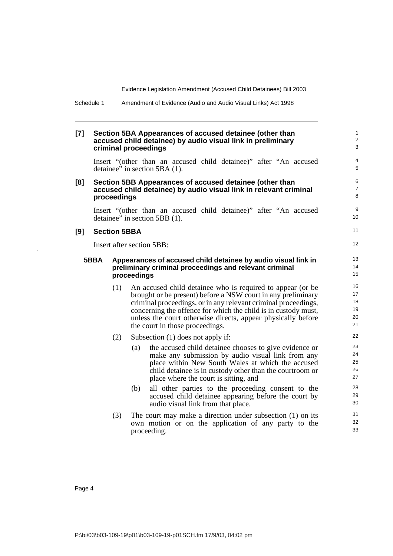Schedule 1 Amendment of Evidence (Audio and Audio Visual Links) Act 1998

|  | [7] | Section 5BA Appearances of accused detainee (other than<br>accused child detainee) by audio visual link in preliminary<br>criminal proceedings |                                  |             |                                                                                                                                                                                                                                                                                                                                                                   |                                  |  |  |  |
|--|-----|------------------------------------------------------------------------------------------------------------------------------------------------|----------------------------------|-------------|-------------------------------------------------------------------------------------------------------------------------------------------------------------------------------------------------------------------------------------------------------------------------------------------------------------------------------------------------------------------|----------------------------------|--|--|--|
|  |     |                                                                                                                                                |                                  |             | Insert "(other than an accused child detainee)" after "An accused<br>detainee" in section 5BA (1).                                                                                                                                                                                                                                                                | 4<br>5                           |  |  |  |
|  | [8] | Section 5BB Appearances of accused detainee (other than<br>accused child detainee) by audio visual link in relevant criminal<br>proceedings    |                                  |             |                                                                                                                                                                                                                                                                                                                                                                   |                                  |  |  |  |
|  |     |                                                                                                                                                |                                  |             | Insert "(other than an accused child detainee)" after "An accused<br>detainee" in section 5BB (1).                                                                                                                                                                                                                                                                | 9<br>10                          |  |  |  |
|  | [9] |                                                                                                                                                | <b>Section 5BBA</b>              |             |                                                                                                                                                                                                                                                                                                                                                                   | 11                               |  |  |  |
|  |     |                                                                                                                                                | <b>Insert after section 5BB:</b> |             |                                                                                                                                                                                                                                                                                                                                                                   |                                  |  |  |  |
|  |     | 5BBA                                                                                                                                           |                                  | proceedings | Appearances of accused child detainee by audio visual link in<br>preliminary criminal proceedings and relevant criminal                                                                                                                                                                                                                                           | 13<br>14<br>15                   |  |  |  |
|  |     |                                                                                                                                                | (1)                              |             | An accused child detainee who is required to appear (or be<br>brought or be present) before a NSW court in any preliminary<br>criminal proceedings, or in any relevant criminal proceedings,<br>concerning the offence for which the child is in custody must,<br>unless the court otherwise directs, appear physically before<br>the court in those proceedings. | 16<br>17<br>18<br>19<br>20<br>21 |  |  |  |
|  |     |                                                                                                                                                | (2)                              |             | Subsection (1) does not apply if:                                                                                                                                                                                                                                                                                                                                 | 22                               |  |  |  |
|  |     |                                                                                                                                                |                                  | (a)         | the accused child detainee chooses to give evidence or<br>make any submission by audio visual link from any<br>place within New South Wales at which the accused<br>child detainee is in custody other than the courtroom or<br>place where the court is sitting, and                                                                                             | 23<br>24<br>25<br>26<br>27       |  |  |  |
|  |     |                                                                                                                                                |                                  | (b)         | all other parties to the proceeding consent to the<br>accused child detainee appearing before the court by<br>audio visual link from that place.                                                                                                                                                                                                                  | 28<br>29<br>30                   |  |  |  |
|  |     |                                                                                                                                                | (3)                              |             | The court may make a direction under subsection $(1)$ on its<br>own motion or on the application of any party to the<br>proceeding.                                                                                                                                                                                                                               | 31<br>32<br>33                   |  |  |  |
|  |     |                                                                                                                                                |                                  |             |                                                                                                                                                                                                                                                                                                                                                                   |                                  |  |  |  |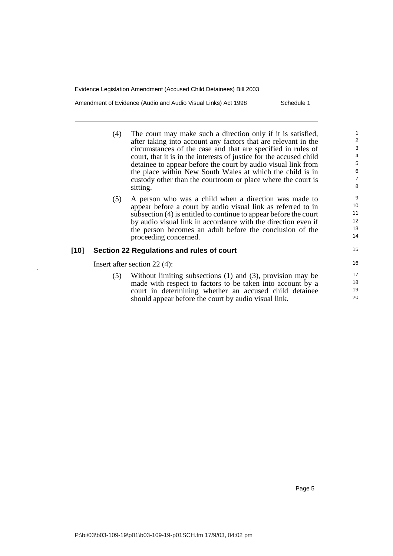Amendment of Evidence (Audio and Audio Visual Links) Act 1998 Schedule 1

- (4) The court may make such a direction only if it is satisfied, after taking into account any factors that are relevant in the circumstances of the case and that are specified in rules of court, that it is in the interests of justice for the accused child detainee to appear before the court by audio visual link from the place within New South Wales at which the child is in custody other than the courtroom or place where the court is sitting. (5) A person who was a child when a direction was made to appear before a court by audio visual link as referred to in subsection (4) is entitled to continue to appear before the court by audio visual link in accordance with the direction even if the person becomes an adult before the conclusion of the proceeding concerned. **[10] Section 22 Regulations and rules of court** Insert after section 22 (4):
	- (5) Without limiting subsections (1) and (3), provision may be made with respect to factors to be taken into account by a court in determining whether an accused child detainee should appear before the court by audio visual link.